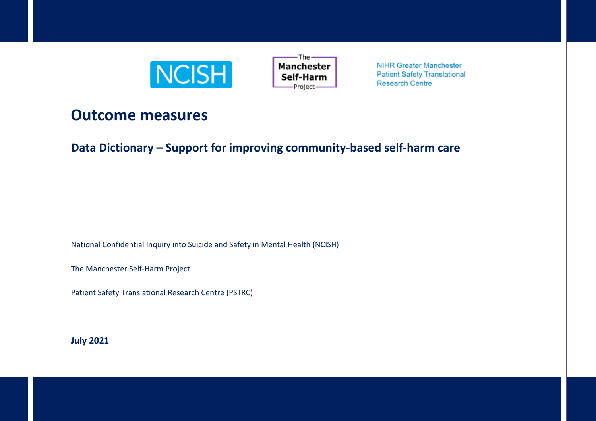



**NIHR Greater Manchester Patient Safety Translational Research Centre** 

# **Outcome measures**

**Data Dictionary – Support for improving community-based self-harm care**

National Confidential Inquiry into Suicide and Safety in Mental Health (NCISH)

The Manchester Self-Harm Project

Patient Safety Translational Research Centre (PSTRC)

**July 2021**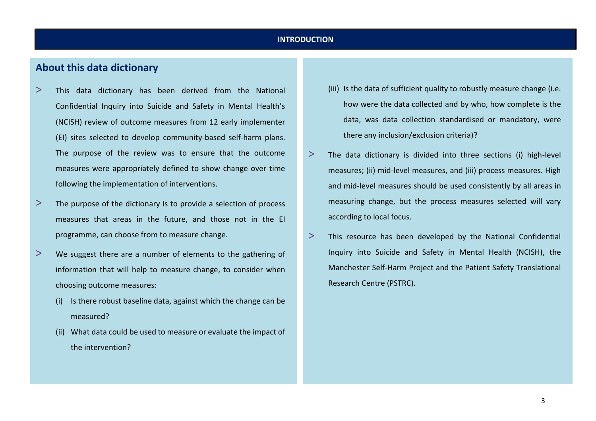#### **INTRODUCTION**

# **About this data dictionary**

- > This data dictionary has been derived from the National Confidential Inquiry into Suicide and Safety in Mental Health's (NCISH) review of outcome measures from 12 early implementer (EI) sites selected to develop community-based self-harm plans. The purpose of the review was to ensure that the outcome measures were appropriately defined to show change over time following the implementation of interventions.
- > The purpose of the dictionary is to provide a selection of process measures that areas in the future, and those not in the EI programme, can choose from to measure change.
- > We suggest there are a number of elements to the gathering of information that will help to measure change, to consider when choosing outcome measures:
	- (i) Is there robust baseline data, against which the change can be measured?
	- (ii) What data could be used to measure or evaluate the impact of the intervention?
- (iii) Is the data of sufficient quality to robustly measure change (i.e. how were the data collected and by who, how complete is the data, was data collection standardised or mandatory, were there any inclusion/exclusion criteria)?
- $>$  The data dictionary is divided into three sections (i) high-level measures; (ii) mid-level measures, and (iii) process measures. High and mid-level measures should be used consistently by all areas in measuring change, but the process measures selected will vary according to local focus.
- > This resource has been developed by the National Confidential Inquiry into Suicide and Safety in Mental Health (NCISH), the Manchester Self-Harm Project and the Patient Safety Translational Research Centre (PSTRC).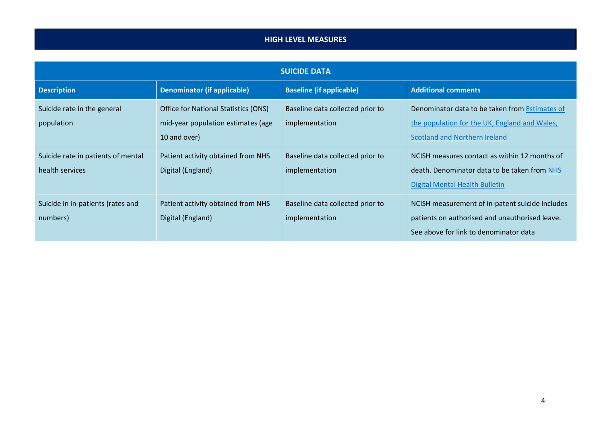## **HIGH LEVEL MEASURES**

| <b>SUICIDE DATA</b>                                   |                                                                                                   |                                                    |                                                                                                                                             |  |
|-------------------------------------------------------|---------------------------------------------------------------------------------------------------|----------------------------------------------------|---------------------------------------------------------------------------------------------------------------------------------------------|--|
| <b>Description</b>                                    | <b>Denominator (if applicable)</b>                                                                | <b>Baseline (if applicable)</b>                    | <b>Additional comments</b>                                                                                                                  |  |
| Suicide rate in the general<br>population             | <b>Office for National Statistics (ONS)</b><br>mid-year population estimates (age<br>10 and over) | Baseline data collected prior to<br>implementation | Denominator data to be taken from Estimates of<br>the population for the UK, England and Wales,<br><b>Scotland and Northern Ireland</b>     |  |
| Suicide rate in patients of mental<br>health services | Patient activity obtained from NHS<br>Digital (England)                                           | Baseline data collected prior to<br>implementation | NCISH measures contact as within 12 months of<br>death. Denominator data to be taken from NHS<br>Digital Mental Health Bulletin             |  |
| Suicide in in-patients (rates and<br>numbers)         | Patient activity obtained from NHS<br>Digital (England)                                           | Baseline data collected prior to<br>implementation | NCISH measurement of in-patent suicide includes<br>patients on authorised and unauthorised leave.<br>See above for link to denominator data |  |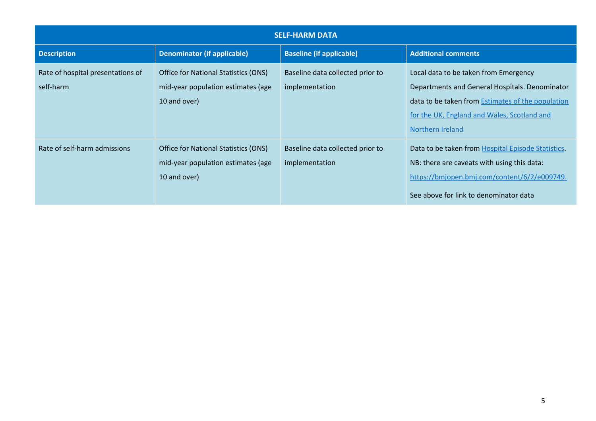| <b>SELF-HARM DATA</b>                          |                                                                                                   |                                                    |                                                                                                                                                                                                                 |
|------------------------------------------------|---------------------------------------------------------------------------------------------------|----------------------------------------------------|-----------------------------------------------------------------------------------------------------------------------------------------------------------------------------------------------------------------|
| <b>Description</b>                             | <b>Denominator (if applicable)</b>                                                                | <b>Baseline (if applicable)</b>                    | <b>Additional comments</b>                                                                                                                                                                                      |
| Rate of hospital presentations of<br>self-harm | <b>Office for National Statistics (ONS)</b><br>mid-year population estimates (age<br>10 and over) | Baseline data collected prior to<br>implementation | Local data to be taken from Emergency<br>Departments and General Hospitals. Denominator<br>data to be taken from Estimates of the population<br>for the UK, England and Wales, Scotland and<br>Northern Ireland |
| Rate of self-harm admissions                   | <b>Office for National Statistics (ONS)</b><br>mid-year population estimates (age<br>10 and over) | Baseline data collected prior to<br>implementation | Data to be taken from Hospital Episode Statistics.<br>NB: there are caveats with using this data:<br>https://bmjopen.bmj.com/content/6/2/e009749.<br>See above for link to denominator data                     |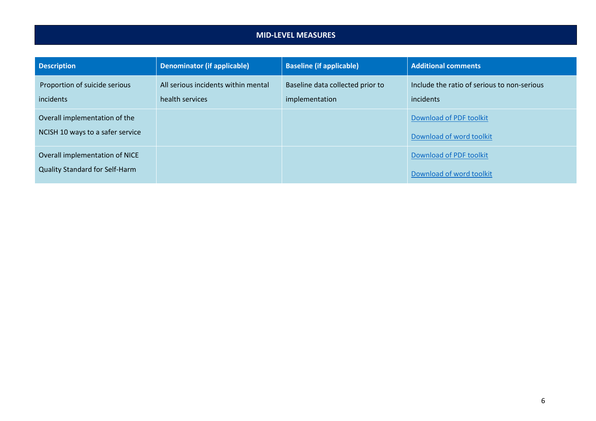#### **MID-LEVEL MEASURES**

| <b>Description</b>                                                | Denominator (if applicable)                            | <b>Baseline (if applicable)</b>                    | <b>Additional comments</b>                               |
|-------------------------------------------------------------------|--------------------------------------------------------|----------------------------------------------------|----------------------------------------------------------|
| Proportion of suicide serious<br>incidents                        | All serious incidents within mental<br>health services | Baseline data collected prior to<br>implementation | Include the ratio of serious to non-serious<br>incidents |
| Overall implementation of the<br>NCISH 10 ways to a safer service |                                                        |                                                    | Download of PDF toolkit<br>Download of word toolkit      |
| Overall implementation of NICE<br>Quality Standard for Self-Harm  |                                                        |                                                    | Download of PDF toolkit<br>Download of word toolkit      |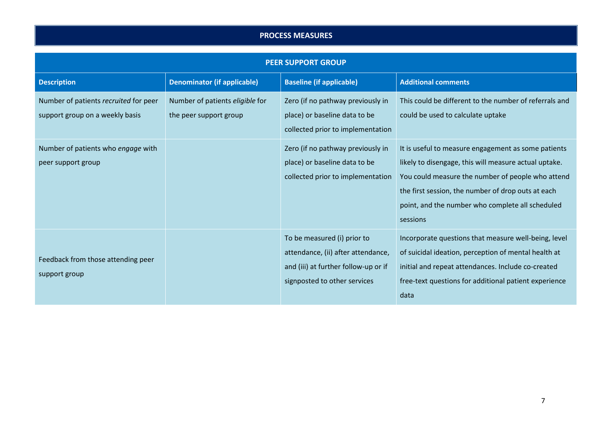### **PROCESS MEASURES**

| <b>PEER SUPPORT GROUP</b>                                                |                                                           |                                                                                                                                           |                                                                                                                                                                                                                                                                                         |  |
|--------------------------------------------------------------------------|-----------------------------------------------------------|-------------------------------------------------------------------------------------------------------------------------------------------|-----------------------------------------------------------------------------------------------------------------------------------------------------------------------------------------------------------------------------------------------------------------------------------------|--|
| <b>Description</b>                                                       | <b>Denominator (if applicable)</b>                        | <b>Baseline (if applicable)</b>                                                                                                           | <b>Additional comments</b>                                                                                                                                                                                                                                                              |  |
| Number of patients recruited for peer<br>support group on a weekly basis | Number of patients eligible for<br>the peer support group | Zero (if no pathway previously in<br>place) or baseline data to be<br>collected prior to implementation                                   | This could be different to the number of referrals and<br>could be used to calculate uptake                                                                                                                                                                                             |  |
| Number of patients who engage with<br>peer support group                 |                                                           | Zero (if no pathway previously in<br>place) or baseline data to be<br>collected prior to implementation                                   | It is useful to measure engagement as some patients<br>likely to disengage, this will measure actual uptake.<br>You could measure the number of people who attend<br>the first session, the number of drop outs at each<br>point, and the number who complete all scheduled<br>sessions |  |
| Feedback from those attending peer<br>support group                      |                                                           | To be measured (i) prior to<br>attendance, (ii) after attendance,<br>and (iii) at further follow-up or if<br>signposted to other services | Incorporate questions that measure well-being, level<br>of suicidal ideation, perception of mental health at<br>initial and repeat attendances. Include co-created<br>free-text questions for additional patient experience<br>data                                                     |  |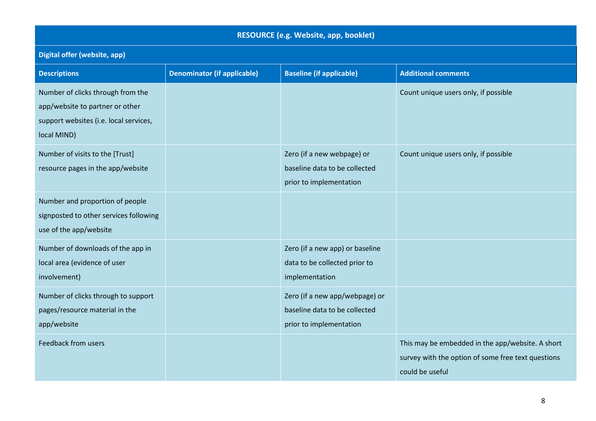| RESOURCE (e.g. Website, app, booklet)                                                                                         |                                    |                                                                                            |                                                                                                                           |  |  |
|-------------------------------------------------------------------------------------------------------------------------------|------------------------------------|--------------------------------------------------------------------------------------------|---------------------------------------------------------------------------------------------------------------------------|--|--|
| Digital offer (website, app)                                                                                                  |                                    |                                                                                            |                                                                                                                           |  |  |
| <b>Descriptions</b>                                                                                                           | <b>Denominator (if applicable)</b> | <b>Baseline (if applicable)</b>                                                            | <b>Additional comments</b>                                                                                                |  |  |
| Number of clicks through from the<br>app/website to partner or other<br>support websites (i.e. local services,<br>local MIND) |                                    |                                                                                            | Count unique users only, if possible                                                                                      |  |  |
| Number of visits to the [Trust]<br>resource pages in the app/website                                                          |                                    | Zero (if a new webpage) or<br>baseline data to be collected<br>prior to implementation     | Count unique users only, if possible                                                                                      |  |  |
| Number and proportion of people<br>signposted to other services following<br>use of the app/website                           |                                    |                                                                                            |                                                                                                                           |  |  |
| Number of downloads of the app in<br>local area (evidence of user<br>involvement)                                             |                                    | Zero (if a new app) or baseline<br>data to be collected prior to<br>implementation         |                                                                                                                           |  |  |
| Number of clicks through to support<br>pages/resource material in the<br>app/website                                          |                                    | Zero (if a new app/webpage) or<br>baseline data to be collected<br>prior to implementation |                                                                                                                           |  |  |
| Feedback from users                                                                                                           |                                    |                                                                                            | This may be embedded in the app/website. A short<br>survey with the option of some free text questions<br>could be useful |  |  |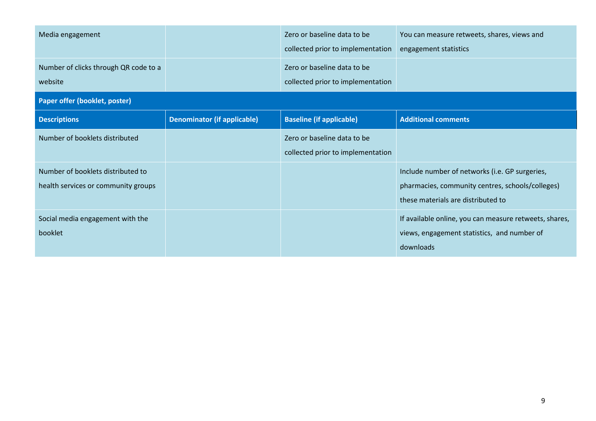| Media engagement                                                         |                                    | Zero or baseline data to be<br>collected prior to implementation | You can measure retweets, shares, views and<br>engagement statistics                                                                     |
|--------------------------------------------------------------------------|------------------------------------|------------------------------------------------------------------|------------------------------------------------------------------------------------------------------------------------------------------|
| Number of clicks through QR code to a<br>website                         |                                    | Zero or baseline data to be<br>collected prior to implementation |                                                                                                                                          |
| Paper offer (booklet, poster)                                            |                                    |                                                                  |                                                                                                                                          |
| <b>Descriptions</b>                                                      | <b>Denominator (if applicable)</b> | <b>Baseline (if applicable)</b>                                  | <b>Additional comments</b>                                                                                                               |
| Number of booklets distributed                                           |                                    | Zero or baseline data to be<br>collected prior to implementation |                                                                                                                                          |
| Number of booklets distributed to<br>health services or community groups |                                    |                                                                  | Include number of networks (i.e. GP surgeries,<br>pharmacies, community centres, schools/colleges)<br>these materials are distributed to |
| Social media engagement with the<br>booklet                              |                                    |                                                                  | If available online, you can measure retweets, shares,<br>views, engagement statistics, and number of<br>downloads                       |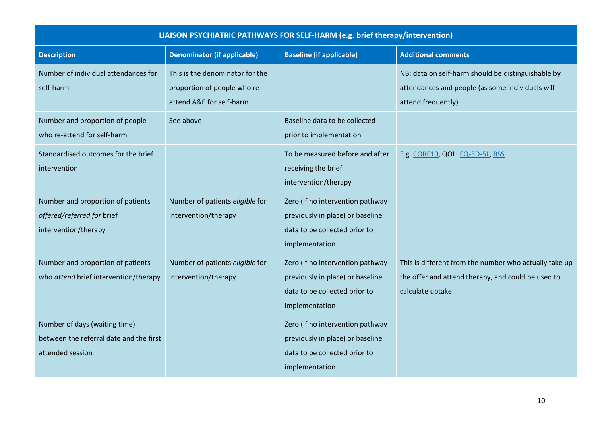| LIAISON PSYCHIATRIC PATHWAYS FOR SELF-HARM (e.g. brief therapy/intervention)                 |                                                                                             |                                                                                                                         |                                                                                                                                  |
|----------------------------------------------------------------------------------------------|---------------------------------------------------------------------------------------------|-------------------------------------------------------------------------------------------------------------------------|----------------------------------------------------------------------------------------------------------------------------------|
| <b>Description</b>                                                                           | <b>Denominator (if applicable)</b>                                                          | <b>Baseline (if applicable)</b>                                                                                         | <b>Additional comments</b>                                                                                                       |
| Number of individual attendances for<br>self-harm                                            | This is the denominator for the<br>proportion of people who re-<br>attend A&E for self-harm |                                                                                                                         | NB: data on self-harm should be distinguishable by<br>attendances and people (as some individuals will<br>attend frequently)     |
| Number and proportion of people<br>who re-attend for self-harm                               | See above                                                                                   | Baseline data to be collected<br>prior to implementation                                                                |                                                                                                                                  |
| Standardised outcomes for the brief<br>intervention                                          |                                                                                             | To be measured before and after<br>receiving the brief<br>intervention/therapy                                          | E.g. CORE10, QOL: EQ-5D-5L, BSS                                                                                                  |
| Number and proportion of patients<br>offered/referred for brief<br>intervention/therapy      | Number of patients eligible for<br>intervention/therapy                                     | Zero (if no intervention pathway<br>previously in place) or baseline<br>data to be collected prior to<br>implementation |                                                                                                                                  |
| Number and proportion of patients<br>who attend brief intervention/therapy                   | Number of patients eligible for<br>intervention/therapy                                     | Zero (if no intervention pathway<br>previously in place) or baseline<br>data to be collected prior to<br>implementation | This is different from the number who actually take up<br>the offer and attend therapy, and could be used to<br>calculate uptake |
| Number of days (waiting time)<br>between the referral date and the first<br>attended session |                                                                                             | Zero (if no intervention pathway<br>previously in place) or baseline<br>data to be collected prior to<br>implementation |                                                                                                                                  |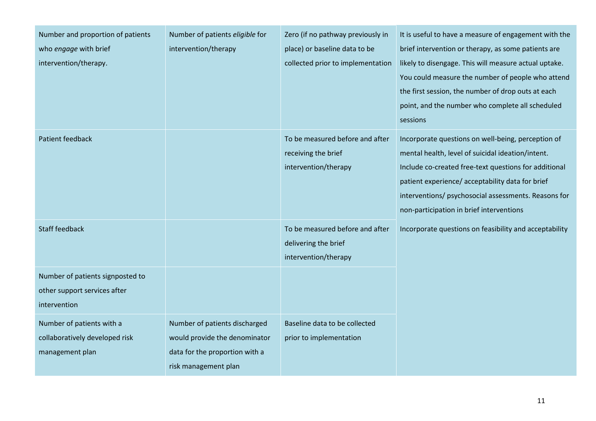| Number and proportion of patients<br>who engage with brief<br>intervention/therapy. | Number of patients eligible for<br>intervention/therapy                                                                  | Zero (if no pathway previously in<br>place) or baseline data to be<br>collected prior to implementation | It is useful to have a measure of engagement with the<br>brief intervention or therapy, as some patients are<br>likely to disengage. This will measure actual uptake.<br>You could measure the number of people who attend<br>the first session, the number of drop outs at each<br>point, and the number who complete all scheduled<br>sessions |
|-------------------------------------------------------------------------------------|--------------------------------------------------------------------------------------------------------------------------|---------------------------------------------------------------------------------------------------------|--------------------------------------------------------------------------------------------------------------------------------------------------------------------------------------------------------------------------------------------------------------------------------------------------------------------------------------------------|
| <b>Patient feedback</b>                                                             |                                                                                                                          | To be measured before and after<br>receiving the brief<br>intervention/therapy                          | Incorporate questions on well-being, perception of<br>mental health, level of suicidal ideation/intent.<br>Include co-created free-text questions for additional<br>patient experience/ acceptability data for brief<br>interventions/ psychosocial assessments. Reasons for<br>non-participation in brief interventions                         |
| <b>Staff feedback</b>                                                               |                                                                                                                          | To be measured before and after<br>delivering the brief<br>intervention/therapy                         | Incorporate questions on feasibility and acceptability                                                                                                                                                                                                                                                                                           |
| Number of patients signposted to<br>other support services after<br>intervention    |                                                                                                                          |                                                                                                         |                                                                                                                                                                                                                                                                                                                                                  |
| Number of patients with a<br>collaboratively developed risk<br>management plan      | Number of patients discharged<br>would provide the denominator<br>data for the proportion with a<br>risk management plan | Baseline data to be collected<br>prior to implementation                                                |                                                                                                                                                                                                                                                                                                                                                  |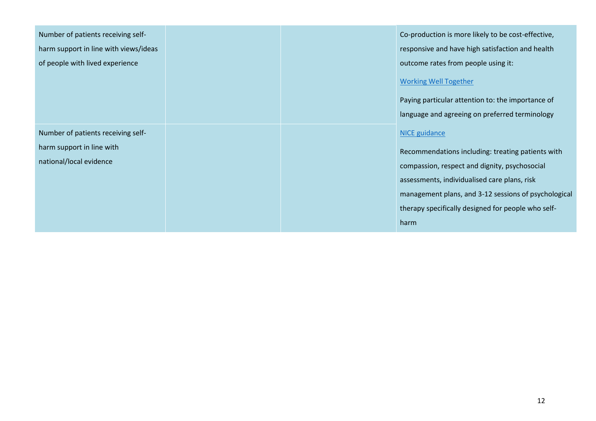| Number of patients receiving self-<br>harm support in line with views/ideas<br>of people with lived experience |  | Co-production is more likely to be cost-effective,<br>responsive and have high satisfaction and health<br>outcome rates from people using it:<br><b>Working Well Together</b><br>Paying particular attention to: the importance of<br>language and agreeing on preferred terminology             |
|----------------------------------------------------------------------------------------------------------------|--|--------------------------------------------------------------------------------------------------------------------------------------------------------------------------------------------------------------------------------------------------------------------------------------------------|
| Number of patients receiving self-<br>harm support in line with<br>national/local evidence                     |  | <b>NICE</b> guidance<br>Recommendations including: treating patients with<br>compassion, respect and dignity, psychosocial<br>assessments, individualised care plans, risk<br>management plans, and 3-12 sessions of psychological<br>therapy specifically designed for people who self-<br>harm |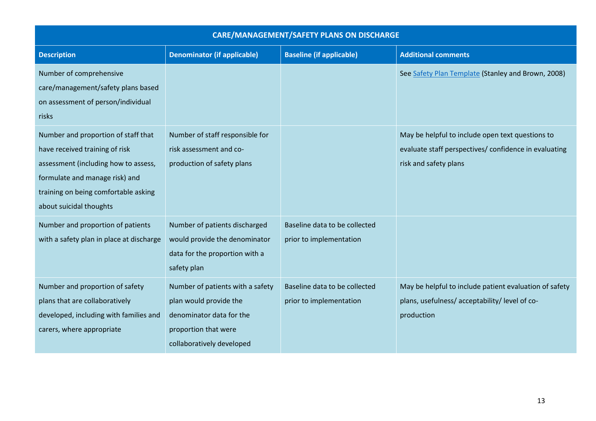| <b>CARE/MANAGEMENT/SAFETY PLANS ON DISCHARGE</b>                                                                                                                                                                   |                                                                                                                                             |                                                          |                                                                                                                                    |
|--------------------------------------------------------------------------------------------------------------------------------------------------------------------------------------------------------------------|---------------------------------------------------------------------------------------------------------------------------------------------|----------------------------------------------------------|------------------------------------------------------------------------------------------------------------------------------------|
| <b>Description</b>                                                                                                                                                                                                 | <b>Denominator (if applicable)</b>                                                                                                          | <b>Baseline (if applicable)</b>                          | <b>Additional comments</b>                                                                                                         |
| Number of comprehensive<br>care/management/safety plans based<br>on assessment of person/individual<br>risks                                                                                                       |                                                                                                                                             |                                                          | See Safety Plan Template (Stanley and Brown, 2008)                                                                                 |
| Number and proportion of staff that<br>have received training of risk<br>assessment (including how to assess,<br>formulate and manage risk) and<br>training on being comfortable asking<br>about suicidal thoughts | Number of staff responsible for<br>risk assessment and co-<br>production of safety plans                                                    |                                                          | May be helpful to include open text questions to<br>evaluate staff perspectives/ confidence in evaluating<br>risk and safety plans |
| Number and proportion of patients<br>with a safety plan in place at discharge                                                                                                                                      | Number of patients discharged<br>would provide the denominator<br>data for the proportion with a<br>safety plan                             | Baseline data to be collected<br>prior to implementation |                                                                                                                                    |
| Number and proportion of safety<br>plans that are collaboratively<br>developed, including with families and<br>carers, where appropriate                                                                           | Number of patients with a safety<br>plan would provide the<br>denominator data for the<br>proportion that were<br>collaboratively developed | Baseline data to be collected<br>prior to implementation | May be helpful to include patient evaluation of safety<br>plans, usefulness/acceptability/level of co-<br>production               |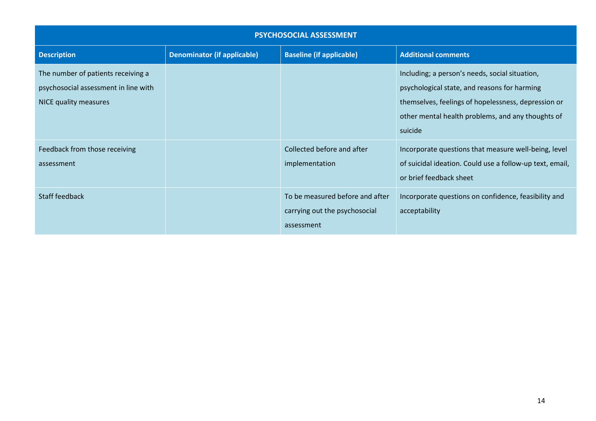| <b>PSYCHOSOCIAL ASSESSMENT</b>                                                                      |                                    |                                                                                |                                                                                                                                                                                                                       |  |
|-----------------------------------------------------------------------------------------------------|------------------------------------|--------------------------------------------------------------------------------|-----------------------------------------------------------------------------------------------------------------------------------------------------------------------------------------------------------------------|--|
| <b>Description</b>                                                                                  | <b>Denominator (if applicable)</b> | <b>Baseline (if applicable)</b>                                                | <b>Additional comments</b>                                                                                                                                                                                            |  |
| The number of patients receiving a<br>psychosocial assessment in line with<br>NICE quality measures |                                    |                                                                                | Including; a person's needs, social situation,<br>psychological state, and reasons for harming<br>themselves, feelings of hopelessness, depression or<br>other mental health problems, and any thoughts of<br>suicide |  |
| Feedback from those receiving<br>assessment                                                         |                                    | Collected before and after<br>implementation                                   | Incorporate questions that measure well-being, level<br>of suicidal ideation. Could use a follow-up text, email,<br>or brief feedback sheet                                                                           |  |
| <b>Staff feedback</b>                                                                               |                                    | To be measured before and after<br>carrying out the psychosocial<br>assessment | Incorporate questions on confidence, feasibility and<br>acceptability                                                                                                                                                 |  |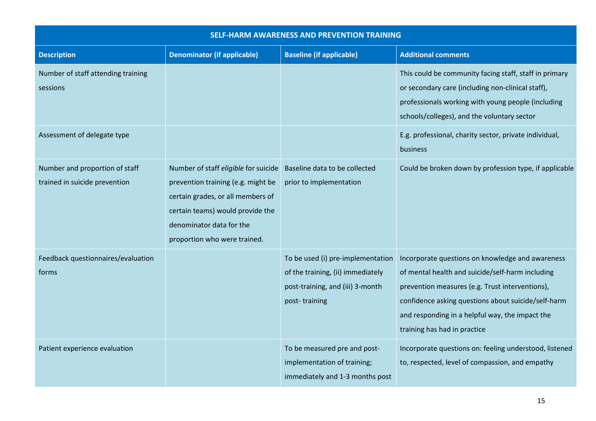| <b>SELF-HARM AWARENESS AND PREVENTION TRAINING</b>              |                                                                                                                                                                                                                 |                                                                                                                             |                                                                                                                                                                                                                                                                                                   |
|-----------------------------------------------------------------|-----------------------------------------------------------------------------------------------------------------------------------------------------------------------------------------------------------------|-----------------------------------------------------------------------------------------------------------------------------|---------------------------------------------------------------------------------------------------------------------------------------------------------------------------------------------------------------------------------------------------------------------------------------------------|
| <b>Description</b>                                              | <b>Denominator (if applicable)</b>                                                                                                                                                                              | <b>Baseline (if applicable)</b>                                                                                             | <b>Additional comments</b>                                                                                                                                                                                                                                                                        |
| Number of staff attending training<br>sessions                  |                                                                                                                                                                                                                 |                                                                                                                             | This could be community facing staff, staff in primary<br>or secondary care (including non-clinical staff),<br>professionals working with young people (including<br>schools/colleges), and the voluntary sector                                                                                  |
| Assessment of delegate type                                     |                                                                                                                                                                                                                 |                                                                                                                             | E.g. professional, charity sector, private individual,<br>business                                                                                                                                                                                                                                |
| Number and proportion of staff<br>trained in suicide prevention | Number of staff eligible for suicide<br>prevention training (e.g. might be<br>certain grades, or all members of<br>certain teams) would provide the<br>denominator data for the<br>proportion who were trained. | Baseline data to be collected<br>prior to implementation                                                                    | Could be broken down by profession type, if applicable                                                                                                                                                                                                                                            |
| Feedback questionnaires/evaluation<br>forms                     |                                                                                                                                                                                                                 | To be used (i) pre-implementation<br>of the training, (ii) immediately<br>post-training, and (iii) 3-month<br>post-training | Incorporate questions on knowledge and awareness<br>of mental health and suicide/self-harm including<br>prevention measures (e.g. Trust interventions),<br>confidence asking questions about suicide/self-harm<br>and responding in a helpful way, the impact the<br>training has had in practice |
| Patient experience evaluation                                   |                                                                                                                                                                                                                 | To be measured pre and post-<br>implementation of training;<br>immediately and 1-3 months post                              | Incorporate questions on: feeling understood, listened<br>to, respected, level of compassion, and empathy                                                                                                                                                                                         |